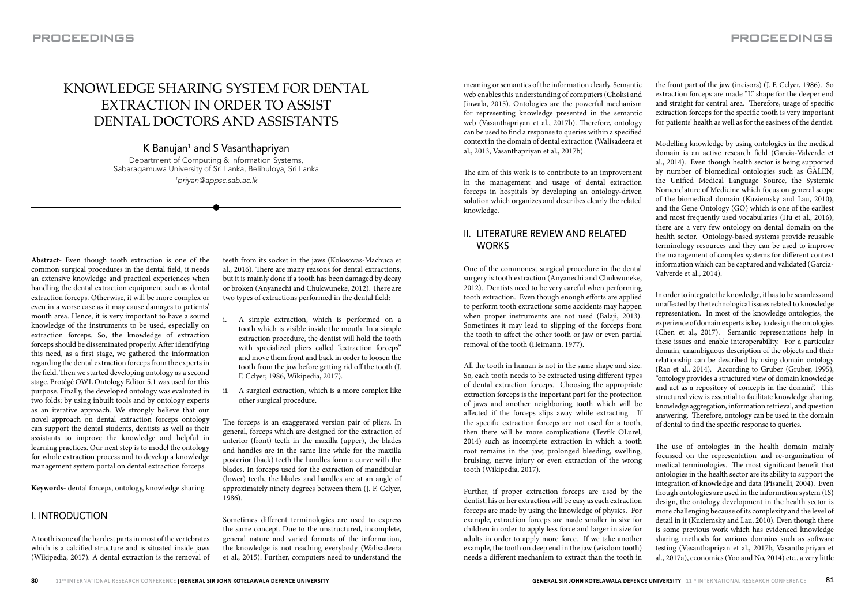# KNOWLEDGE SHARING SYSTEM FOR DENTAL EXTRACTION IN ORDER TO ASSIST DENTAL DOCTORS AND ASSISTANTS

K Banujan<sup>1</sup> and S Vasanthapriyan Department of Computing & Information Systems, Sabaragamuwa University of Sri Lanka, Belihuloya, Sri Lanka 1priyan@appsc.sab.ac.lk

**Abstract-** Even though tooth extraction is one of the common surgical procedures in the dental field, it needs an extensive knowledge and practical experiences when handling the dental extraction equipment such as dental extraction forceps. Otherwise, it will be more complex or even in a worse case as it may cause damages to patients' mouth area. Hence, it is very important to have a sound knowledge of the instruments to be used, especially on extraction forceps. So, the knowledge of extraction forceps should be disseminated properly. After identifying this need, as a first stage, we gathered the information regarding the dental extraction forceps from the experts in the field. Then we started developing ontology as a second stage. Protégé OWL Ontology Editor 5.1 was used for this purpose. Finally, the developed ontology was evaluated in two folds; by using inbuilt tools and by ontology experts as an iterative approach. We strongly believe that our novel approach on dental extraction forceps ontology can support the dental students, dentists as well as their assistants to improve the knowledge and helpful in learning practices. Our next step is to model the ontology for whole extraction process and to develop a knowledge management system portal on dental extraction forceps.

**Keywords-** dental forceps, ontology, knowledge sharing

# I. INTRODUCTION

A tooth is one of the hardest parts in most of the vertebrates which is a calcified structure and is situated inside jaws (Wikipedia, 2017). A dental extraction is the removal of teeth from its socket in the jaws (Kolosovas-Machuca et al., 2016). There are many reasons for dental extractions, but it is mainly done if a tooth has been damaged by decay or broken (Anyanechi and Chukwuneke, 2012). There are two types of extractions performed in the dental field:

- A simple extraction, which is performed on a tooth which is visible inside the mouth. In a simple extraction procedure, the dentist will hold the tooth with specialized pliers called "extraction forceps" and move them front and back in order to loosen the tooth from the jaw before getting rid off the tooth (J. F. Cclyer, 1986, Wikipedia, 2017).
- A surgical extraction, which is a more complex like other surgical procedure.

The forceps is an exaggerated version pair of pliers. In general, forceps which are designed for the extraction of anterior (front) teeth in the maxilla (upper), the blades and handles are in the same line while for the maxilla posterior (back) teeth the handles form a curve with the blades. In forceps used for the extraction of mandibular (lower) teeth, the blades and handles are at an angle of approximately ninety degrees between them (J. F. Cclyer, 1986).

Sometimes different terminologies are used to express the same concept. Due to the unstructured, incomplete, general nature and varied formats of the information, the knowledge is not reaching everybody (Walisadeera et al., 2015). Further, computers need to understand the

meaning or semantics of the information clearly. Semantic web enables this understanding of computers (Choksi and Jinwala, 2015). Ontologies are the powerful mechanism for representing knowledge presented in the semantic web (Vasanthapriyan et al., 2017b). Therefore, ontology can be used to find a response to queries within a specified context in the domain of dental extraction (Walisadeera et al., 2013, Vasanthapriyan et al., 2017b).

The aim of this work is to contribute to an improvement in the management and usage of dental extraction forceps in hospitals by developing an ontology-driven solution which organizes and describes clearly the related knowledge.

# II. LITERATURE REVIEW AND RELATED **WORKS**

One of the commonest surgical procedure in the dental surgery is tooth extraction (Anyanechi and Chukwuneke, 2012). Dentists need to be very careful when performing tooth extraction. Even though enough efforts are applied to perform tooth extractions some accidents may happen when proper instruments are not used (Balaji, 2013). Sometimes it may lead to slipping of the forceps from the tooth to affect the other tooth or jaw or even partial removal of the tooth (Heimann, 1977).

All the tooth in human is not in the same shape and size. So, each tooth needs to be extracted using different types of dental extraction forceps. Choosing the appropriate extraction forceps is the important part for the protection of jaws and another neighboring tooth which will be affected if the forceps slips away while extracting. If the specific extraction forceps are not used for a tooth, then there will be more complications (Tevfik OLurel, 2014) such as incomplete extraction in which a tooth root remains in the jaw, prolonged bleeding, swelling, bruising, nerve injury or even extraction of the wrong tooth (Wikipedia, 2017).

Further, if proper extraction forceps are used by the dentist, his or her extraction will be easy as each extraction forceps are made by using the knowledge of physics. For example, extraction forceps are made smaller in size for children in order to apply less force and larger in size for adults in order to apply more force. If we take another example, the tooth on deep end in the jaw (wisdom tooth) needs a different mechanism to extract than the tooth in

the front part of the jaw (incisors) (J. F. Cclyer, 1986). So extraction forceps are made "L" shape for the deeper end and straight for central area. Therefore, usage of specific extraction forceps for the specific tooth is very important for patients' health as well as for the easiness of the dentist.

Modelling knowledge by using ontologies in the medical domain is an active research field (Garcia-Valverde et al., 2014). Even though health sector is being supported by number of biomedical ontologies such as GALEN, the Unified Medical Language Source, the Systemic Nomenclature of Medicine which focus on general scope of the biomedical domain (Kuziemsky and Lau, 2010), and the Gene Ontology (GO) which is one of the earliest and most frequently used vocabularies (Hu et al., 2016), there are a very few ontology on dental domain on the health sector. Ontology-based systems provide reusable terminology resources and they can be used to improve the management of complex systems for different context information which can be captured and validated (Garcia-Valverde et al., 2014).

In order to integrate the knowledge, it has to be seamless and unaffected by the technological issues related to knowledge representation. In most of the knowledge ontologies, the experience of domain experts is key to design the ontologies (Chen et al., 2017). Semantic representations help in these issues and enable interoperability. For a particular domain, unambiguous description of the objects and their relationship can be described by using domain ontology (Rao et al., 2014). According to Gruber (Gruber, 1995), "ontology provides a structured view of domain knowledge and act as a repository of concepts in the domain". This structured view is essential to facilitate knowledge sharing, knowledge aggregation, information retrieval, and question answering. Therefore, ontology can be used in the domain of dental to find the specific response to queries.

The use of ontologies in the health domain mainly focussed on the representation and re-organization of medical terminologies. The most significant benefit that ontologies in the health sector are its ability to support the integration of knowledge and data (Pisanelli, 2004). Even though ontologies are used in the information system (IS) design, the ontology development in the health sector is more challenging because of its complexity and the level of detail in it (Kuziemsky and Lau, 2010). Even though there is some previous work which has evidenced knowledge sharing methods for various domains such as software testing (Vasanthapriyan et al., 2017b, Vasanthapriyan et al., 2017a), economics (Yoo and No, 2014) etc., a very little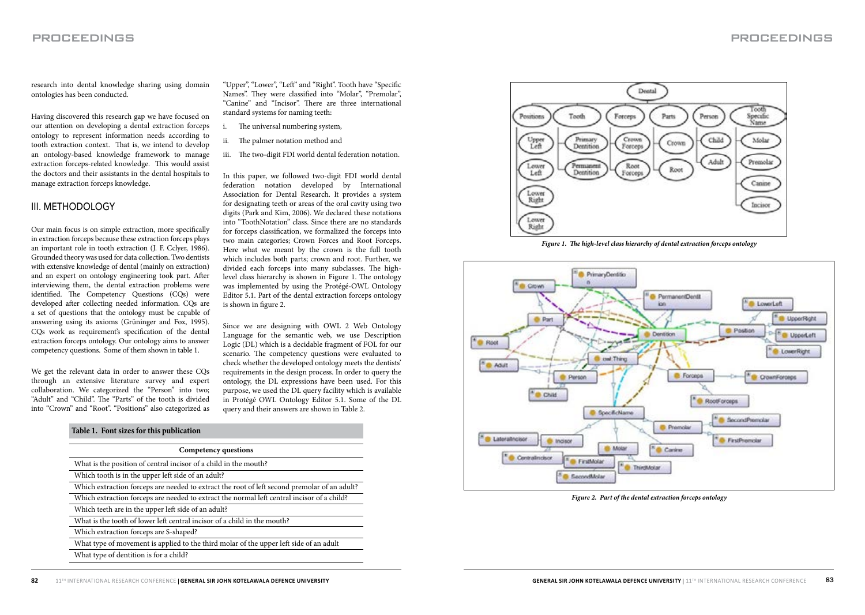research into dental knowledge sharing using domain ontologies has been conducted.

Having discovered this research gap we have focused on our attention on developing a dental extraction forceps ontology to represent information needs according to tooth extraction context. That is, we intend to develop an ontology-based knowledge framework to manage extraction forceps-related knowledge. This would assist the doctors and their assistants in the dental hospitals to manage extraction forceps knowledge.

### III. METHODOLOGY

Our main focus is on simple extraction, more specifically in extraction forceps because these extraction forceps plays an important role in tooth extraction (J. F. Cclyer, 1986). Grounded theory was used for data collection. Two dentists with extensive knowledge of dental (mainly on extraction) and an expert on ontology engineering took part. After interviewing them, the dental extraction problems were identified. The Competency Questions (CQs) were developed after collecting needed information. CQs are a set of questions that the ontology must be capable of answering using its axioms (Grüninger and Fox, 1995). CQs work as requirement's specification of the dental extraction forceps ontology. Our ontology aims to answer competency questions. Some of them shown in table 1.

We get the relevant data in order to answer these CQs through an extensive literature survey and expert collaboration. We categorized the "Person" into two; "Adult" and "Child". The "Parts" of the tooth is divided into "Crown" and "Root". "Positions" also categorized as

"Upper", "Lower", "Left" and "Right". Tooth have "Specific Names". They were classified into "Molar", "Premolar", "Canine" and "Incisor". There are three international standard systems for naming teeth:

- The universal numbering system,
- ii. The palmer notation method and
- iii. The two-digit FDI world dental federation notation.

In this paper, we followed two-digit FDI world dental federation notation developed by International Association for Dental Research. It provides a system for designating teeth or areas of the oral cavity using two digits (Park and Kim, 2006). We declared these notations into "ToothNotation" class. Since there are no standards for forceps classification, we formalized the forceps into two main categories; Crown Forces and Root Forceps. Here what we meant by the crown is the full tooth which includes both parts; crown and root. Further, we divided each forceps into many subclasses. The highlevel class hierarchy is shown in Figure 1. The ontology was implemented by using the Protégé-OWL Ontology Editor 5.1. Part of the dental extraction forceps ontology is shown in figure 2.

Since we are designing with OWL 2 Web Ontology Language for the semantic web, we use Description Logic (DL) which is a decidable fragment of FOL for our scenario. The competency questions were evaluated to check whether the developed ontology meets the dentists' requirements in the design process. In order to query the ontology, the DL expressions have been used. For this purpose, we used the DL query facility which is available in Protégé OWL Ontology Editor 5.1. Some of the DL query and their answers are shown in Table 2.

| Competency questions |                                                                                              |  |
|----------------------|----------------------------------------------------------------------------------------------|--|
|                      | What is the position of central incisor of a child in the mouth?                             |  |
|                      | Which tooth is in the upper left side of an adult?                                           |  |
|                      | Which extraction forceps are needed to extract the root of left second premolar of an adult? |  |
|                      | Which extraction forceps are needed to extract the normal left central incisor of a child?   |  |
|                      | Which teeth are in the upper left side of an adult?                                          |  |
|                      | What is the tooth of lower left central incisor of a child in the mouth?                     |  |
|                      | Which extraction forceps are S-shaped?                                                       |  |
|                      | What type of movement is applied to the third molar of the upper left side of an adult       |  |
|                      | What type of dentition is for a child?                                                       |  |



*Figure 1. The high-level class hierarchy of dental extraction forceps ontology*



*Figure 2. Part of the dental extraction forceps ontology*